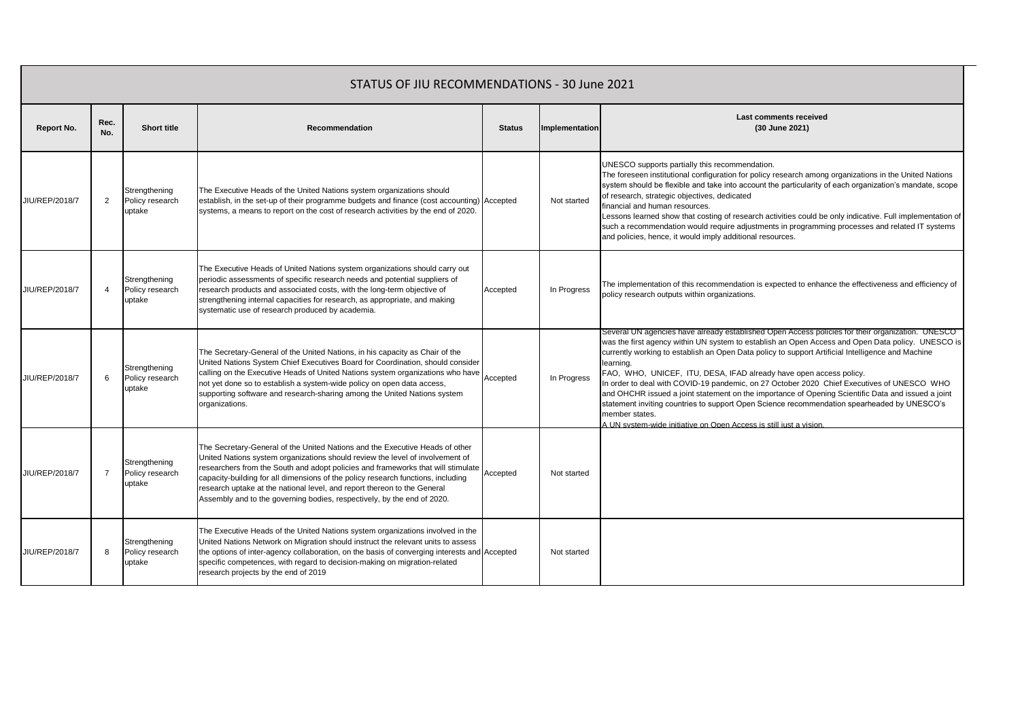| STATUS OF JIU RECOMMENDATIONS - 30 June 2021 |                |                                            |                                                                                                                                                                                                                                                                                                                                                                                                                                                                                              |               |                |                                                                                                                                                                                                                                                                                                                                                                                                                                                                                                                                                                                                                                                                                                                                                                                          |  |  |  |
|----------------------------------------------|----------------|--------------------------------------------|----------------------------------------------------------------------------------------------------------------------------------------------------------------------------------------------------------------------------------------------------------------------------------------------------------------------------------------------------------------------------------------------------------------------------------------------------------------------------------------------|---------------|----------------|------------------------------------------------------------------------------------------------------------------------------------------------------------------------------------------------------------------------------------------------------------------------------------------------------------------------------------------------------------------------------------------------------------------------------------------------------------------------------------------------------------------------------------------------------------------------------------------------------------------------------------------------------------------------------------------------------------------------------------------------------------------------------------------|--|--|--|
| Report No.                                   | Rec.<br>No.    | <b>Short title</b>                         | Recommendation                                                                                                                                                                                                                                                                                                                                                                                                                                                                               | <b>Status</b> | Implementation | <b>Last comments received</b><br>(30 June 2021)                                                                                                                                                                                                                                                                                                                                                                                                                                                                                                                                                                                                                                                                                                                                          |  |  |  |
| JIU/REP/2018/7                               | 2              | Strengthening<br>Policy research<br>uptake | The Executive Heads of the United Nations system organizations should<br>establish, in the set-up of their programme budgets and finance (cost accounting) Accepted<br>systems, a means to report on the cost of research activities by the end of 2020.                                                                                                                                                                                                                                     |               | Not started    | UNESCO supports partially this recommendation.<br>The foreseen institutional configuration for policy research among organizations in the United Nations<br>system should be flexible and take into account the particularity of each organization's mandate, scope<br>of research, strategic objectives, dedicated<br>financial and human resources.<br>Lessons learned show that costing of research activities could be only indicative. Full implementation of<br>such a recommendation would require adjustments in programming processes and related IT systems<br>and policies, hence, it would imply additional resources.                                                                                                                                                       |  |  |  |
| JIU/REP/2018/7                               |                | Strengthening<br>Policy research<br>uptake | The Executive Heads of United Nations system organizations should carry out<br>periodic assessments of specific research needs and potential suppliers of<br>research products and associated costs, with the long-term objective of<br>strengthening internal capacities for research, as appropriate, and making<br>systematic use of research produced by academia.                                                                                                                       | Accepted      | In Progress    | The implementation of this recommendation is expected to enhance the effectiveness and efficiency of<br>policy research outputs within organizations.                                                                                                                                                                                                                                                                                                                                                                                                                                                                                                                                                                                                                                    |  |  |  |
| JIU/REP/2018/7                               | 6              | Strengthening<br>Policy research<br>uptake | The Secretary-General of the United Nations, in his capacity as Chair of the<br>United Nations System Chief Executives Board for Coordination, should consider<br>calling on the Executive Heads of United Nations system organizations who have<br>not yet done so to establish a system-wide policy on open data access,<br>supporting software and research-sharing among the United Nations system<br>organizations.                                                                     | Accepted      | In Progress    | Several UN agencies have already established Open Access policies for their organization. UNESCO<br>was the first agency within UN system to establish an Open Access and Open Data policy. UNESCO is<br>currently working to establish an Open Data policy to support Artificial Intelligence and Machine<br>learning.<br>FAO, WHO, UNICEF, ITU, DESA, IFAD already have open access policy.<br>In order to deal with COVID-19 pandemic, on 27 October 2020 Chief Executives of UNESCO WHO<br>and OHCHR issued a joint statement on the importance of Opening Scientific Data and issued a joint<br>statement inviting countries to support Open Science recommendation spearheaded by UNESCO's<br>member states.<br>A UN system-wide initiative on Open Access is still just a vision. |  |  |  |
| JIU/REP/2018/7                               | $\overline{7}$ | Strengthening<br>Policy research<br>uptake | The Secretary-General of the United Nations and the Executive Heads of other<br>United Nations system organizations should review the level of involvement of<br>researchers from the South and adopt policies and frameworks that will stimulate<br>capacity-building for all dimensions of the policy research functions, including<br>research uptake at the national level, and report thereon to the General<br>Assembly and to the governing bodies, respectively, by the end of 2020. | Accepted      | Not started    |                                                                                                                                                                                                                                                                                                                                                                                                                                                                                                                                                                                                                                                                                                                                                                                          |  |  |  |
| JIU/REP/2018/7                               | 8              | Strengthening<br>Policy research<br>uptake | The Executive Heads of the United Nations system organizations involved in the<br>United Nations Network on Migration should instruct the relevant units to assess<br>the options of inter-agency collaboration, on the basis of converging interests and Accepted<br>specific competences, with regard to decision-making on migration-related<br>research projects by the end of 2019                                                                                                      |               | Not started    |                                                                                                                                                                                                                                                                                                                                                                                                                                                                                                                                                                                                                                                                                                                                                                                          |  |  |  |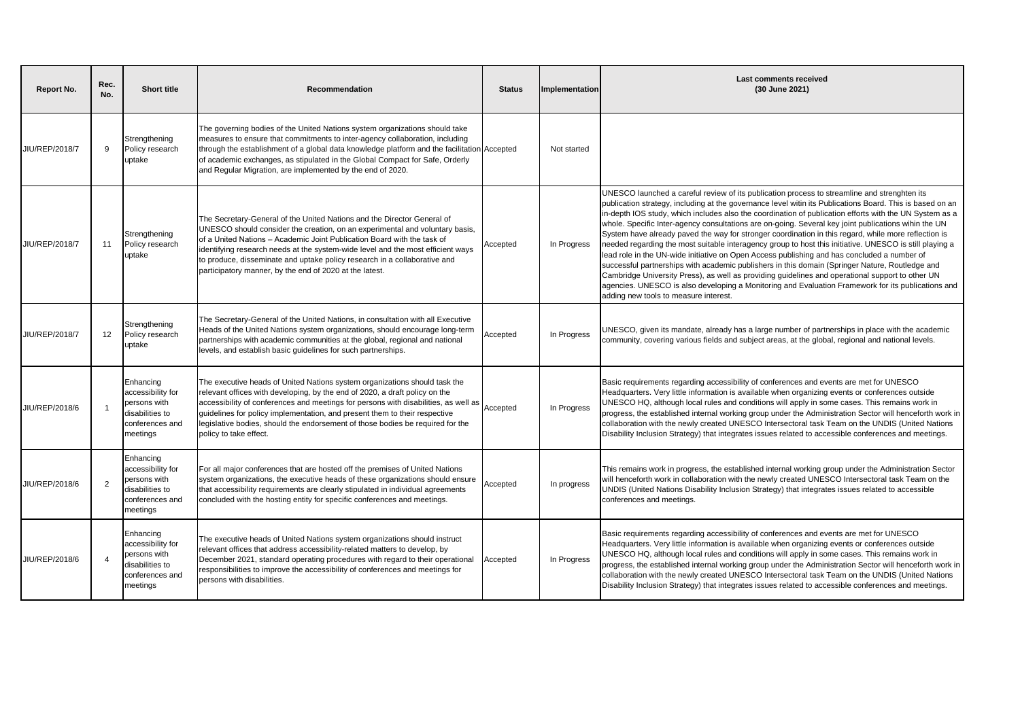| <b>Report No.</b> | Rec.<br>No.    | <b>Short title</b>                                                                               | Recommendation                                                                                                                                                                                                                                                                                                                                                                                                                                                | <b>Status</b> | Implementation | <b>Last comments received</b><br>(30 June 2021)                                                                                                                                                                                                                                                                                                                                                                                                                                                                                                                                                                                                                                                                                                                                                                                                                                                                                                                                                                                                                                                      |
|-------------------|----------------|--------------------------------------------------------------------------------------------------|---------------------------------------------------------------------------------------------------------------------------------------------------------------------------------------------------------------------------------------------------------------------------------------------------------------------------------------------------------------------------------------------------------------------------------------------------------------|---------------|----------------|------------------------------------------------------------------------------------------------------------------------------------------------------------------------------------------------------------------------------------------------------------------------------------------------------------------------------------------------------------------------------------------------------------------------------------------------------------------------------------------------------------------------------------------------------------------------------------------------------------------------------------------------------------------------------------------------------------------------------------------------------------------------------------------------------------------------------------------------------------------------------------------------------------------------------------------------------------------------------------------------------------------------------------------------------------------------------------------------------|
| JIU/REP/2018/7    | 9              | Strengthening<br>Policy research<br>uptake                                                       | The governing bodies of the United Nations system organizations should take<br>measures to ensure that commitments to inter-agency collaboration, including<br>through the establishment of a global data knowledge platform and the facilitation Accepted<br>of academic exchanges, as stipulated in the Global Compact for Safe, Orderly<br>and Regular Migration, are implemented by the end of 2020.                                                      |               | Not started    |                                                                                                                                                                                                                                                                                                                                                                                                                                                                                                                                                                                                                                                                                                                                                                                                                                                                                                                                                                                                                                                                                                      |
| JIU/REP/2018/7    | 11             | Strengthening<br>Policy research<br>uptake                                                       | The Secretary-General of the United Nations and the Director General of<br>UNESCO should consider the creation, on an experimental and voluntary basis,<br>of a United Nations - Academic Joint Publication Board with the task of<br>identifying research needs at the system-wide level and the most efficient ways<br>to produce, disseminate and uptake policy research in a collaborative and<br>participatory manner, by the end of 2020 at the latest. | Accepted      | In Progress    | UNESCO launched a careful review of its publication process to streamline and strenghten its<br>publication strategy, including at the governance level witin its Publications Board. This is based on an<br>in-depth IOS study, which includes also the coordination of publication efforts with the UN System as a<br>whole. Specific Inter-agency consultations are on-going. Several key joint publications wihin the UN<br>System have already paved the way for stronger coordination in this regard, while more reflection is<br>needed regarding the most suitable interagency group to host this initiative. UNESCO is still playing a<br>lead role in the UN-wide initiative on Open Access publishing and has concluded a number of<br>successful partnerships with academic publishers in this domain (Springer Nature, Routledge and<br>Cambridge University Press), as well as providing quidelines and operational support to other UN<br>agencies. UNESCO is also developing a Monitoring and Evaluation Framework for its publications and<br>adding new tools to measure interest. |
| JIU/REP/2018/7    | 12             | Strengthening<br>Policy research<br>uptake                                                       | The Secretary-General of the United Nations, in consultation with all Executive<br>Heads of the United Nations system organizations, should encourage long-term<br>partnerships with academic communities at the global, regional and national<br>levels, and establish basic quidelines for such partnerships.                                                                                                                                               | Accepted      | In Progress    | JNESCO, given its mandate, already has a large number of partnerships in place with the academic<br>community, covering various fields and subject areas, at the global, regional and national levels.                                                                                                                                                                                                                                                                                                                                                                                                                                                                                                                                                                                                                                                                                                                                                                                                                                                                                               |
| JIU/REP/2018/6    |                | Enhancing<br>accessibility for<br>persons with<br>disabilities to<br>conferences and<br>meetings | The executive heads of United Nations system organizations should task the<br>relevant offices with developing, by the end of 2020, a draft policy on the<br>accessibility of conferences and meetings for persons with disabilities, as well as<br>guidelines for policy implementation, and present them to their respective<br>legislative bodies, should the endorsement of those bodies be required for the<br>policy to take effect.                    | Accepted      | In Progress    | Basic requirements regarding accessibility of conferences and events are met for UNESCO<br>Headquarters. Very little information is available when organizing events or conferences outside<br>UNESCO HQ, although local rules and conditions will apply in some cases. This remains work in<br>progress, the established internal working group under the Administration Sector will henceforth work in<br>collaboration with the newly created UNESCO Intersectoral task Team on the UNDIS (United Nations<br>Disability Inclusion Strategy) that integrates issues related to accessible conferences and meetings.                                                                                                                                                                                                                                                                                                                                                                                                                                                                                |
| JIU/REP/2018/6    | $\overline{2}$ | Enhancing<br>accessibility for<br>persons with<br>disabilities to<br>conferences and<br>meetings | For all major conferences that are hosted off the premises of United Nations<br>system organizations, the executive heads of these organizations should ensure<br>that accessibility requirements are clearly stipulated in individual agreements<br>concluded with the hosting entity for specific conferences and meetings.                                                                                                                                 | Accepted      | In progress    | This remains work in progress, the established internal working group under the Administration Sector<br>will henceforth work in collaboration with the newly created UNESCO Intersectoral task Team on the<br>UNDIS (United Nations Disability Inclusion Strategy) that integrates issues related to accessible<br>conferences and meetings.                                                                                                                                                                                                                                                                                                                                                                                                                                                                                                                                                                                                                                                                                                                                                        |
| JIU/REP/2018/6    | $\Delta$       | Enhancing<br>accessibility for<br>persons with<br>disabilities to<br>conferences and<br>meetings | The executive heads of United Nations system organizations should instruct<br>relevant offices that address accessibility-related matters to develop, by<br>December 2021, standard operating procedures with regard to their operational<br>responsibilities to improve the accessibility of conferences and meetings for<br>persons with disabilities.                                                                                                      | Accepted      | In Progress    | Basic requirements regarding accessibility of conferences and events are met for UNESCO<br>Headquarters. Very little information is available when organizing events or conferences outside<br>UNESCO HQ, although local rules and conditions will apply in some cases. This remains work in<br>progress, the established internal working group under the Administration Sector will henceforth work in<br>collaboration with the newly created UNESCO Intersectoral task Team on the UNDIS (United Nations<br>Disability Inclusion Strategy) that integrates issues related to accessible conferences and meetings.                                                                                                                                                                                                                                                                                                                                                                                                                                                                                |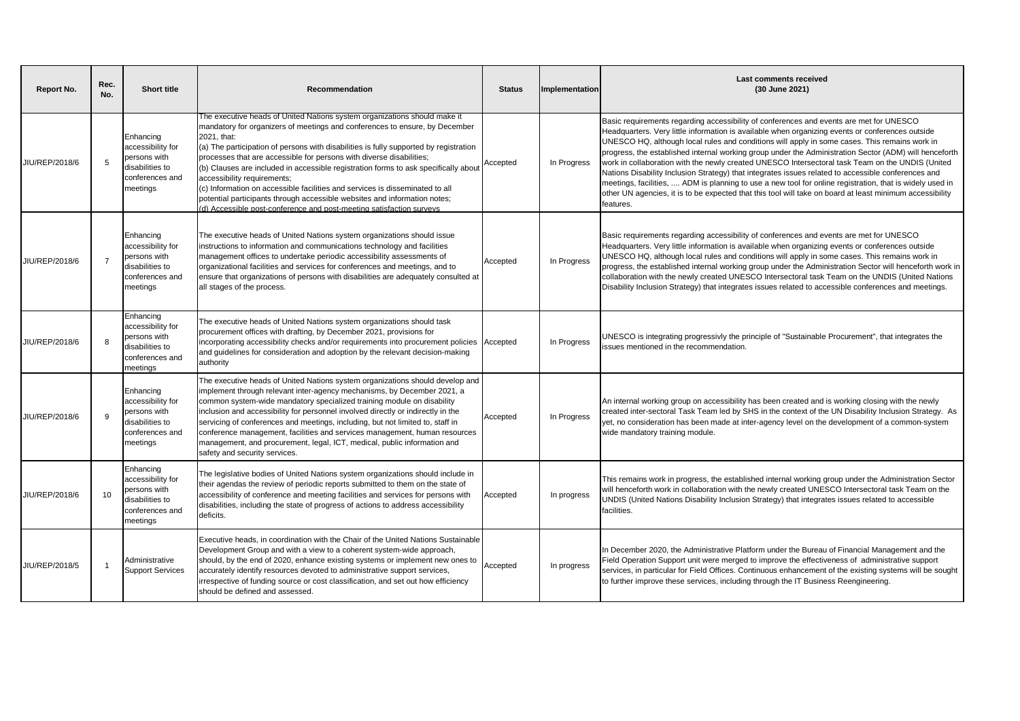| Report No.     | Rec.<br>No.    | <b>Short title</b>                                                                               | Recommendation                                                                                                                                                                                                                                                                                                                                                                                                                                                                                                                                                                                                                                                                                      | <b>Status</b> | Implementation | <b>Last comments received</b><br>(30 June 2021)                                                                                                                                                                                                                                                                                                                                                                                                                                                                                                                                                                                                                                                                                                                                                                                                        |
|----------------|----------------|--------------------------------------------------------------------------------------------------|-----------------------------------------------------------------------------------------------------------------------------------------------------------------------------------------------------------------------------------------------------------------------------------------------------------------------------------------------------------------------------------------------------------------------------------------------------------------------------------------------------------------------------------------------------------------------------------------------------------------------------------------------------------------------------------------------------|---------------|----------------|--------------------------------------------------------------------------------------------------------------------------------------------------------------------------------------------------------------------------------------------------------------------------------------------------------------------------------------------------------------------------------------------------------------------------------------------------------------------------------------------------------------------------------------------------------------------------------------------------------------------------------------------------------------------------------------------------------------------------------------------------------------------------------------------------------------------------------------------------------|
| JIU/REP/2018/6 | 5              | Enhancing<br>accessibility for<br>persons with<br>disabilities to<br>conferences and<br>meetings | The executive heads of United Nations system organizations should make it<br>mandatory for organizers of meetings and conferences to ensure, by December<br>2021, that:<br>(a) The participation of persons with disabilities is fully supported by registration<br>processes that are accessible for persons with diverse disabilities;<br>(b) Clauses are included in accessible registration forms to ask specifically about<br>accessibility requirements;<br>(c) Information on accessible facilities and services is disseminated to all<br>potential participants through accessible websites and information notes;<br>(d) Accessible post-conference and post-meeting satisfaction surveys | Accepted      | In Progress    | Basic requirements regarding accessibility of conferences and events are met for UNESCO<br>Headquarters. Very little information is available when organizing events or conferences outside<br>UNESCO HQ, although local rules and conditions will apply in some cases. This remains work in<br>progress, the established internal working group under the Administration Sector (ADM) will henceforth<br>work in collaboration with the newly created UNESCO Intersectoral task Team on the UNDIS (United<br>Nations Disability Inclusion Strategy) that integrates issues related to accessible conferences and<br>meetings, facilities,  ADM is planning to use a new tool for online registration, that is widely used in<br>other UN agencies, it is to be expected that this tool will take on board at least minimum accessibility<br>features. |
| JIU/REP/2018/6 | $\overline{7}$ | Enhancing<br>accessibility for<br>persons with<br>disabilities to<br>conferences and<br>meetings | The executive heads of United Nations system organizations should issue<br>instructions to information and communications technology and facilities<br>management offices to undertake periodic accessibility assessments of<br>organizational facilities and services for conferences and meetings, and to<br>ensure that organizations of persons with disabilities are adequately consulted at<br>all stages of the process.                                                                                                                                                                                                                                                                     | Accepted      | In Progress    | Basic requirements regarding accessibility of conferences and events are met for UNESCO<br>Headquarters. Very little information is available when organizing events or conferences outside<br>UNESCO HQ, although local rules and conditions will apply in some cases. This remains work in<br>progress, the established internal working group under the Administration Sector will henceforth work in<br>collaboration with the newly created UNESCO Intersectoral task Team on the UNDIS (United Nations<br>Disability Inclusion Strategy) that integrates issues related to accessible conferences and meetings.                                                                                                                                                                                                                                  |
| JIU/REP/2018/6 | 8              | Enhancing<br>accessibility for<br>persons with<br>disabilities to<br>conferences and<br>meetings | The executive heads of United Nations system organizations should task<br>procurement offices with drafting, by December 2021, provisions for<br>incorporating accessibility checks and/or requirements into procurement policies<br>and guidelines for consideration and adoption by the relevant decision-making<br>authority                                                                                                                                                                                                                                                                                                                                                                     | Accepted      | In Progress    | UNESCO is integrating progressivly the principle of "Sustainable Procurement", that integrates the<br>issues mentioned in the recommendation.                                                                                                                                                                                                                                                                                                                                                                                                                                                                                                                                                                                                                                                                                                          |
| JIU/REP/2018/6 | <sub>9</sub>   | Enhancing<br>accessibility for<br>persons with<br>disabilities to<br>conferences and<br>meetings | The executive heads of United Nations system organizations should develop and<br>implement through relevant inter-agency mechanisms, by December 2021, a<br>common system-wide mandatory specialized training module on disability<br>inclusion and accessibility for personnel involved directly or indirectly in the<br>servicing of conferences and meetings, including, but not limited to, staff in<br>conference management, facilities and services management, human resources<br>management, and procurement, legal, ICT, medical, public information and<br>safety and security services.                                                                                                 | Accepted      | In Progress    | An internal working group on accessibility has been created and is working closing with the newly<br>created inter-sectoral Task Team led by SHS in the context of the UN Disability Inclusion Strategy. As<br>yet, no consideration has been made at inter-agency level on the development of a common-system<br>wide mandatory training module.                                                                                                                                                                                                                                                                                                                                                                                                                                                                                                      |
| JIU/REP/2018/6 | 10             | Enhancing<br>accessibility for<br>persons with<br>disabilities to<br>conferences and<br>meetings | The legislative bodies of United Nations system organizations should include in<br>their agendas the review of periodic reports submitted to them on the state of<br>accessibility of conference and meeting facilities and services for persons with<br>disabilities, including the state of progress of actions to address accessibility<br>deficits.                                                                                                                                                                                                                                                                                                                                             | Accepted      | In progress    | This remains work in progress, the established internal working group under the Administration Sector<br>will henceforth work in collaboration with the newly created UNESCO Intersectoral task Team on the<br>UNDIS (United Nations Disability Inclusion Strategy) that integrates issues related to accessible<br>facilities.                                                                                                                                                                                                                                                                                                                                                                                                                                                                                                                        |
| JIU/REP/2018/5 |                | Administrative<br><b>Support Services</b>                                                        | Executive heads, in coordination with the Chair of the United Nations Sustainable<br>Development Group and with a view to a coherent system-wide approach,<br>should, by the end of 2020, enhance existing systems or implement new ones to<br>accurately identify resources devoted to administrative support services,<br>irrespective of funding source or cost classification, and set out how efficiency<br>should be defined and assessed.                                                                                                                                                                                                                                                    | Accepted      | In progress    | n December 2020, the Administrative Platform under the Bureau of Financial Management and the<br>Field Operation Support unit were merged to improve the effectiveness of administrative support<br>services, in particular for Field Offices. Continuous enhancement of the existing systems will be sought<br>to further improve these services, including through the IT Business Reengineering.                                                                                                                                                                                                                                                                                                                                                                                                                                                    |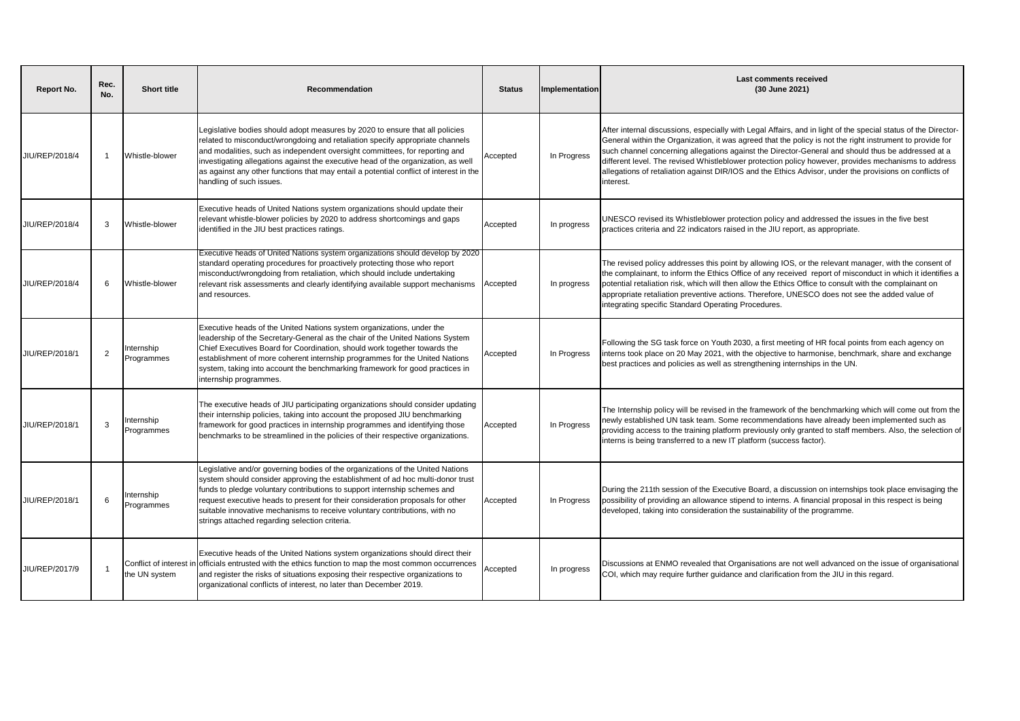| Report No.     | Rec.<br>No.    | <b>Short title</b>       | Recommendation                                                                                                                                                                                                                                                                                                                                                                                                                                                  | <b>Status</b> | Implementation | Last comments received<br>(30 June 2021)                                                                                                                                                                                                                                                                                                                                                                                                                                                                                                                          |
|----------------|----------------|--------------------------|-----------------------------------------------------------------------------------------------------------------------------------------------------------------------------------------------------------------------------------------------------------------------------------------------------------------------------------------------------------------------------------------------------------------------------------------------------------------|---------------|----------------|-------------------------------------------------------------------------------------------------------------------------------------------------------------------------------------------------------------------------------------------------------------------------------------------------------------------------------------------------------------------------------------------------------------------------------------------------------------------------------------------------------------------------------------------------------------------|
| JIU/REP/2018/4 | -1             | Whistle-blower           | Legislative bodies should adopt measures by 2020 to ensure that all policies<br>related to misconduct/wrongdoing and retaliation specify appropriate channels<br>and modalities, such as independent oversight committees, for reporting and<br>investigating allegations against the executive head of the organization, as well<br>as against any other functions that may entail a potential conflict of interest in the<br>handling of such issues.         | Accepted      | In Progress    | After internal discussions, especially with Legal Affairs, and in light of the special status of the Director-<br>General within the Organization, it was agreed that the policy is not the right instrument to provide for<br>such channel concerning allegations against the Director-General and should thus be addressed at a<br>different level. The revised Whistleblower protection policy however, provides mechanisms to address<br>allegations of retaliation against DIR/IOS and the Ethics Advisor, under the provisions on conflicts of<br>interest. |
| JIU/REP/2018/4 | 3              | Whistle-blower           | Executive heads of United Nations system organizations should update their<br>relevant whistle-blower policies by 2020 to address shortcomings and gaps<br>identified in the JIU best practices ratings.                                                                                                                                                                                                                                                        | Accepted      | In progress    | UNESCO revised its Whistleblower protection policy and addressed the issues in the five best<br>practices criteria and 22 indicators raised in the JIU report, as appropriate.                                                                                                                                                                                                                                                                                                                                                                                    |
| JIU/REP/2018/4 | 6              | Whistle-blower           | Executive heads of United Nations system organizations should develop by 2020<br>standard operating procedures for proactively protecting those who report<br>misconduct/wrongdoing from retaliation, which should include undertaking<br>relevant risk assessments and clearly identifying available support mechanisms<br>and resources.                                                                                                                      | Accepted      | In progress    | The revised policy addresses this point by allowing IOS, or the relevant manager, with the consent of<br>the complainant, to inform the Ethics Office of any received report of misconduct in which it identifies a<br>potential retaliation risk, which will then allow the Ethics Office to consult with the complainant on<br>appropriate retaliation preventive actions. Therefore, UNESCO does not see the added value of<br>integrating specific Standard Operating Procedures.                                                                             |
| JIU/REP/2018/1 | $\overline{2}$ | nternship<br>Programmes  | Executive heads of the United Nations system organizations, under the<br>leadership of the Secretary-General as the chair of the United Nations System<br>Chief Executives Board for Coordination, should work together towards the<br>establishment of more coherent internship programmes for the United Nations<br>system, taking into account the benchmarking framework for good practices in<br>internship programmes.                                    | Accepted      | In Progress    | Following the SG task force on Youth 2030, a first meeting of HR focal points from each agency on<br>interns took place on 20 May 2021, with the objective to harmonise, benchmark, share and exchange<br>best practices and policies as well as strengthening internships in the UN.                                                                                                                                                                                                                                                                             |
| JIU/REP/2018/1 | 3              | Internship<br>Programmes | The executive heads of JIU participating organizations should consider updating<br>their internship policies, taking into account the proposed JIU benchmarking<br>framework for good practices in internship programmes and identifying those<br>benchmarks to be streamlined in the policies of their respective organizations.                                                                                                                               | Accepted      | In Progress    | The Internship policy will be revised in the framework of the benchmarking which will come out from the<br>newly established UN task team. Some recommendations have already been implemented such as<br>providing access to the training platform previously only granted to staff members. Also, the selection of<br>interns is being transferred to a new IT platform (success factor).                                                                                                                                                                        |
| JIU/REP/2018/1 | 6              | nternship<br>Programmes  | Legislative and/or governing bodies of the organizations of the United Nations<br>system should consider approving the establishment of ad hoc multi-donor trust<br>funds to pledge voluntary contributions to support internship schemes and<br>request executive heads to present for their consideration proposals for other<br>suitable innovative mechanisms to receive voluntary contributions, with no<br>strings attached regarding selection criteria. | Accepted      | In Progress    | During the 211th session of the Executive Board, a discussion on internships took place envisaging the<br>possibility of providing an allowance stipend to interns. A financial proposal in this respect is being<br>developed, taking into consideration the sustainability of the programme.                                                                                                                                                                                                                                                                    |
| JIU/REP/2017/9 |                | the UN system            | Executive heads of the United Nations system organizations should direct their<br>Conflict of interest in officials entrusted with the ethics function to map the most common occurrences<br>and register the risks of situations exposing their respective organizations to<br>organizational conflicts of interest, no later than December 2019.                                                                                                              | Accepted      | In progress    | Discussions at ENMO revealed that Organisations are not well advanced on the issue of organisational<br>COI, which may require further quidance and clarification from the JIU in this regard.                                                                                                                                                                                                                                                                                                                                                                    |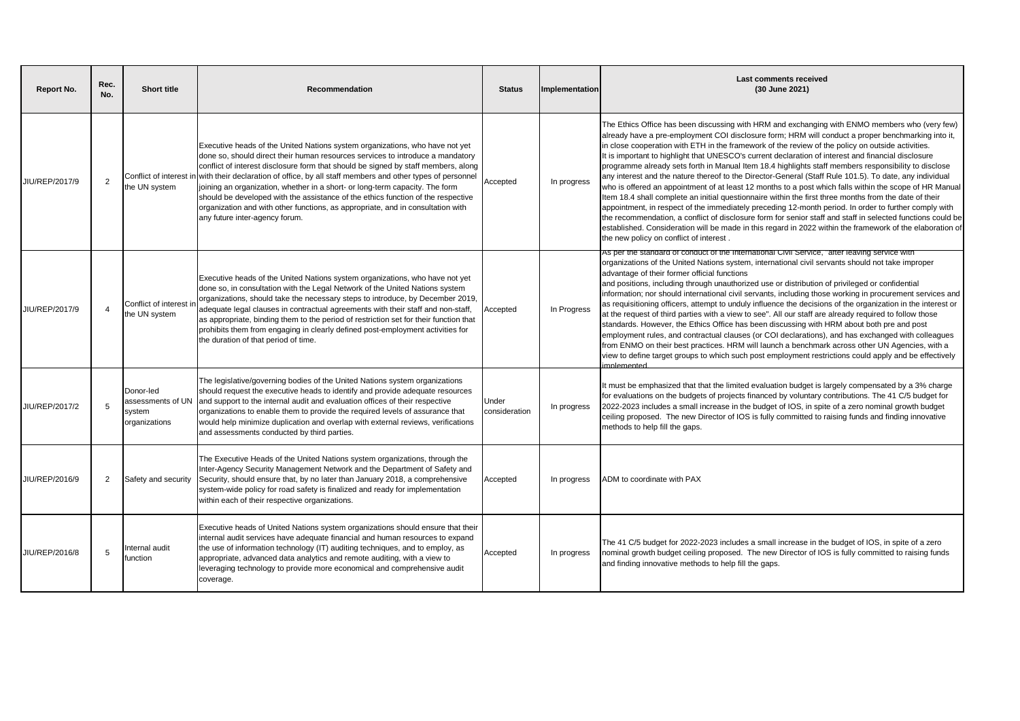| Report No.     | Rec.<br>No.    | <b>Short title</b>                    | Recommendation                                                                                                                                                                                                                                                                                                                                                                                                                                                                                                                                                                                                                                               | <b>Status</b>          | Implementation | <b>Last comments received</b><br>(30 June 2021)                                                                                                                                                                                                                                                                                                                                                                                                                                                                                                                                                                                                                                                                                                                                                                                                                                                                                                                                                                                                                                                                                                                                                                                          |
|----------------|----------------|---------------------------------------|--------------------------------------------------------------------------------------------------------------------------------------------------------------------------------------------------------------------------------------------------------------------------------------------------------------------------------------------------------------------------------------------------------------------------------------------------------------------------------------------------------------------------------------------------------------------------------------------------------------------------------------------------------------|------------------------|----------------|------------------------------------------------------------------------------------------------------------------------------------------------------------------------------------------------------------------------------------------------------------------------------------------------------------------------------------------------------------------------------------------------------------------------------------------------------------------------------------------------------------------------------------------------------------------------------------------------------------------------------------------------------------------------------------------------------------------------------------------------------------------------------------------------------------------------------------------------------------------------------------------------------------------------------------------------------------------------------------------------------------------------------------------------------------------------------------------------------------------------------------------------------------------------------------------------------------------------------------------|
| JIU/REP/2017/9 | $\overline{2}$ | the UN system                         | Executive heads of the United Nations system organizations, who have not yet<br>done so, should direct their human resources services to introduce a mandatory<br>conflict of interest disclosure form that should be signed by staff members, along<br>Conflict of interest in with their declaration of office, by all staff members and other types of personnel<br>joining an organization, whether in a short- or long-term capacity. The form<br>should be developed with the assistance of the ethics function of the respective<br>organization and with other functions, as appropriate, and in consultation with<br>any future inter-agency forum. | Accepted               | In progress    | The Ethics Office has been discussing with HRM and exchanging with ENMO members who (very few)<br>already have a pre-employment COI disclosure form; HRM will conduct a proper benchmarking into it,<br>in close cooperation with ETH in the framework of the review of the policy on outside activities.<br>It is important to highlight that UNESCO's current declaration of interest and financial disclosure<br>programme already sets forth in Manual Item 18.4 highlights staff members responsibility to disclose<br>any interest and the nature thereof to the Director-General (Staff Rule 101.5). To date, any individual<br>who is offered an appointment of at least 12 months to a post which falls within the scope of HR Manual<br>Item 18.4 shall complete an initial questionnaire within the first three months from the date of their<br>appointment, in respect of the immediately preceding 12-month period. In order to further comply with<br>the recommendation, a conflict of disclosure form for senior staff and staff in selected functions could be<br>established. Consideration will be made in this regard in 2022 within the framework of the elaboration of<br>the new policy on conflict of interest. |
| JIU/REP/2017/9 | $\overline{4}$ | Conflict of interest<br>the UN system | Executive heads of the United Nations system organizations, who have not yet<br>done so, in consultation with the Legal Network of the United Nations system<br>organizations, should take the necessary steps to introduce, by December 2019,<br>adequate legal clauses in contractual agreements with their staff and non-staff,<br>as appropriate, binding them to the period of restriction set for their function that<br>prohibits them from engaging in clearly defined post-employment activities for<br>the duration of that period of time.                                                                                                        | Accepted               | In Progress    | As per the standard of conduct of the International Civil Service, "after leaving service with<br>organizations of the United Nations system, international civil servants should not take improper<br>advantage of their former official functions<br>and positions, including through unauthorized use or distribution of privileged or confidential<br>information; nor should international civil servants, including those working in procurement services and<br>as requisitioning officers, attempt to unduly influence the decisions of the organization in the interest or<br>at the request of third parties with a view to see". All our staff are already required to follow those<br>standards. However, the Ethics Office has been discussing with HRM about both pre and post<br>employment rules, and contractual clauses (or COI declarations), and has exchanged with colleagues<br>from ENMO on their best practices. HRM will launch a benchmark across other UN Agencies, with a<br>view to define target groups to which such post employment restrictions could apply and be effectively<br>hatramantan                                                                                                           |
| JIU/REP/2017/2 | 5              | Donor-led<br>system<br>organizations  | The legislative/governing bodies of the United Nations system organizations<br>should request the executive heads to identify and provide adequate resources<br>issessments of UN and support to the internal audit and evaluation offices of their respective<br>organizations to enable them to provide the required levels of assurance that<br>would help minimize duplication and overlap with external reviews, verifications<br>and assessments conducted by third parties.                                                                                                                                                                           | Under<br>consideration | In progress    | It must be emphasized that that the limited evaluation budget is largely compensated by a 3% charge<br>for evaluations on the budgets of projects financed by voluntary contributions. The 41 C/5 budget for<br>2022-2023 includes a small increase in the budget of IOS, in spite of a zero nominal growth budget<br>ceiling proposed. The new Director of IOS is fully committed to raising funds and finding innovative<br>methods to help fill the gaps.                                                                                                                                                                                                                                                                                                                                                                                                                                                                                                                                                                                                                                                                                                                                                                             |
| JIU/REP/2016/9 | 2              | Safety and security                   | The Executive Heads of the United Nations system organizations, through the<br>Inter-Agency Security Management Network and the Department of Safety and<br>Security, should ensure that, by no later than January 2018, a comprehensive<br>system-wide policy for road safety is finalized and ready for implementation<br>within each of their respective organizations.                                                                                                                                                                                                                                                                                   | Accepted               | In progress    | ADM to coordinate with PAX                                                                                                                                                                                                                                                                                                                                                                                                                                                                                                                                                                                                                                                                                                                                                                                                                                                                                                                                                                                                                                                                                                                                                                                                               |
| JIU/REP/2016/8 | 5              | nternal audit<br>function             | Executive heads of United Nations system organizations should ensure that their<br>internal audit services have adequate financial and human resources to expand<br>the use of information technology (IT) auditing techniques, and to employ, as<br>appropriate, advanced data analytics and remote auditing, with a view to<br>leveraging technology to provide more economical and comprehensive audit<br>coverage.                                                                                                                                                                                                                                       | Accepted               | In progress    | The 41 C/5 budget for 2022-2023 includes a small increase in the budget of IOS, in spite of a zero<br>nominal growth budget ceiling proposed. The new Director of IOS is fully committed to raising funds<br>and finding innovative methods to help fill the gaps.                                                                                                                                                                                                                                                                                                                                                                                                                                                                                                                                                                                                                                                                                                                                                                                                                                                                                                                                                                       |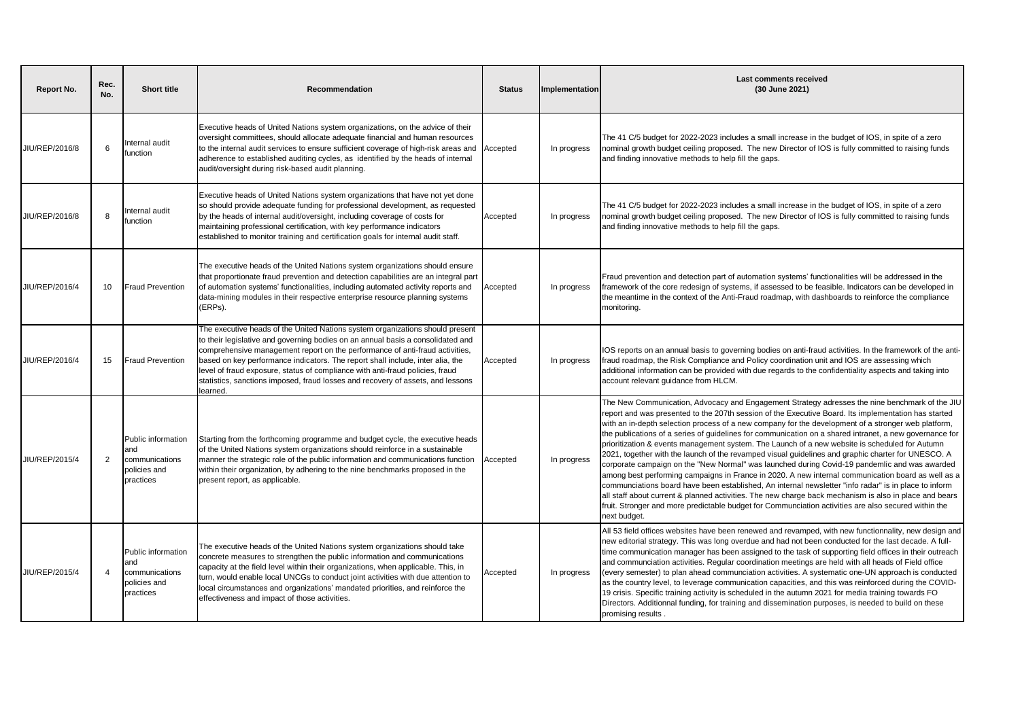| <b>Report No.</b> | Rec.<br>No. | <b>Short title</b>                                                       | Recommendation                                                                                                                                                                                                                                                                                                                                                                                                                                                                                                    | <b>Status</b> | Implementation | <b>Last comments received</b><br>(30 June 2021)                                                                                                                                                                                                                                                                                                                                                                                                                                                                                                                                                                                                                                                                                                                                                                                                                                                                                                                                                                                                                                                                                                                                    |
|-------------------|-------------|--------------------------------------------------------------------------|-------------------------------------------------------------------------------------------------------------------------------------------------------------------------------------------------------------------------------------------------------------------------------------------------------------------------------------------------------------------------------------------------------------------------------------------------------------------------------------------------------------------|---------------|----------------|------------------------------------------------------------------------------------------------------------------------------------------------------------------------------------------------------------------------------------------------------------------------------------------------------------------------------------------------------------------------------------------------------------------------------------------------------------------------------------------------------------------------------------------------------------------------------------------------------------------------------------------------------------------------------------------------------------------------------------------------------------------------------------------------------------------------------------------------------------------------------------------------------------------------------------------------------------------------------------------------------------------------------------------------------------------------------------------------------------------------------------------------------------------------------------|
| JIU/REP/2016/8    | 6           | nternal audit<br>function                                                | Executive heads of United Nations system organizations, on the advice of their<br>oversight committees, should allocate adequate financial and human resources<br>to the internal audit services to ensure sufficient coverage of high-risk areas and<br>adherence to established auditing cycles, as identified by the heads of internal<br>audit/oversight during risk-based audit planning.                                                                                                                    | Accepted      | In progress    | The 41 C/5 budget for 2022-2023 includes a small increase in the budget of IOS, in spite of a zero<br>nominal growth budget ceiling proposed. The new Director of IOS is fully committed to raising funds<br>and finding innovative methods to help fill the gaps.                                                                                                                                                                                                                                                                                                                                                                                                                                                                                                                                                                                                                                                                                                                                                                                                                                                                                                                 |
| JIU/REP/2016/8    | 8           | nternal audit<br>function                                                | Executive heads of United Nations system organizations that have not yet done<br>so should provide adequate funding for professional development, as requested<br>by the heads of internal audit/oversight, including coverage of costs for<br>maintaining professional certification, with key performance indicators<br>established to monitor training and certification goals for internal audit staff.                                                                                                       | Accepted      | In progress    | The 41 C/5 budget for 2022-2023 includes a small increase in the budget of IOS, in spite of a zero<br>nominal growth budget ceiling proposed. The new Director of IOS is fully committed to raising funds<br>and finding innovative methods to help fill the gaps.                                                                                                                                                                                                                                                                                                                                                                                                                                                                                                                                                                                                                                                                                                                                                                                                                                                                                                                 |
| JIU/REP/2016/4    | 10          | <b>Fraud Prevention</b>                                                  | The executive heads of the United Nations system organizations should ensure<br>that proportionate fraud prevention and detection capabilities are an integral part<br>of automation systems' functionalities, including automated activity reports and<br>data-mining modules in their respective enterprise resource planning systems<br>(ERPs).                                                                                                                                                                | Accepted      | In progress    | Fraud prevention and detection part of automation systems' functionalities will be addressed in the<br>framework of the core redesign of systems, if assessed to be feasible. Indicators can be developed in<br>the meantime in the context of the Anti-Fraud roadmap, with dashboards to reinforce the compliance<br>monitoring.                                                                                                                                                                                                                                                                                                                                                                                                                                                                                                                                                                                                                                                                                                                                                                                                                                                  |
| JIU/REP/2016/4    | 15          | <b>Fraud Prevention</b>                                                  | The executive heads of the United Nations system organizations should present<br>to their legislative and governing bodies on an annual basis a consolidated and<br>comprehensive management report on the performance of anti-fraud activities,<br>based on key performance indicators. The report shall include, inter alia, the<br>level of fraud exposure, status of compliance with anti-fraud policies, fraud<br>statistics, sanctions imposed, fraud losses and recovery of assets, and lessons<br>earned. | Accepted      | In progress    | IOS reports on an annual basis to governing bodies on anti-fraud activities. In the framework of the anti-<br>fraud roadmap, the Risk Compliance and Policy coordination unit and IOS are assessing which<br>additional information can be provided with due regards to the confidentiality aspects and taking into<br>account relevant guidance from HLCM.                                                                                                                                                                                                                                                                                                                                                                                                                                                                                                                                                                                                                                                                                                                                                                                                                        |
| JIU/REP/2015/4    | 2           | Public information<br>and<br>communications<br>policies and<br>practices | Starting from the forthcoming programme and budget cycle, the executive heads<br>of the United Nations system organizations should reinforce in a sustainable<br>manner the strategic role of the public information and communications function<br>within their organization, by adhering to the nine benchmarks proposed in the<br>present report, as applicable.                                                                                                                                               | Accepted      | In progress    | The New Communication, Advocacy and Engagement Strategy adresses the nine benchmark of the JIU<br>report and was presented to the 207th session of the Executive Board. Its implementation has started<br>with an in-depth selection process of a new company for the development of a stronger web platform,<br>the publications of a series of guidelines for communication on a shared intranet, a new governance for<br>prioritization & events management system. The Launch of a new website is scheduled for Autumn<br>2021, together with the launch of the revamped visual guidelines and graphic charter for UNESCO. A<br>corporate campaign on the "New Normal" was launched during Covid-19 pandemlic and was awarded<br>among best performing campaigns in France in 2020. A new internal communication board as well as a<br>communciations board have been established, An internal newsletter "info radar" is in place to inform<br>all staff about current & planned activities. The new charge back mechanism is also in place and bears<br>fruit. Stronger and more predictable budget for Communciation activities are also secured within the<br>next budget. |
| JIU/REP/2015/4    | 4           | Public information<br>and<br>communications<br>policies and<br>practices | The executive heads of the United Nations system organizations should take<br>concrete measures to strengthen the public information and communications<br>capacity at the field level within their organizations, when applicable. This, in<br>turn, would enable local UNCGs to conduct joint activities with due attention to<br>local circumstances and organizations' mandated priorities, and reinforce the<br>effectiveness and impact of those activities.                                                | Accepted      | In progress    | All 53 field offices websites have been renewed and revamped, with new functionnality, new design and<br>new editorial strategy. This was long overdue and had not been conducted for the last decade. A full-<br>time communication manager has been assigned to the task of supporting field offices in their outreach<br>and communciation activities. Regular coordination meetings are held with all heads of Field office<br>(every semester) to plan ahead communciation activities. A systematic one-UN approach is conducted<br>as the country level, to leverage communication capacities, and this was reinforced during the COVID-<br>19 crisis. Specific training activity is scheduled in the autumn 2021 for media training towards FO<br>Directors. Additionnal funding, for training and dissemination purposes, is needed to build on these<br>promising results.                                                                                                                                                                                                                                                                                                |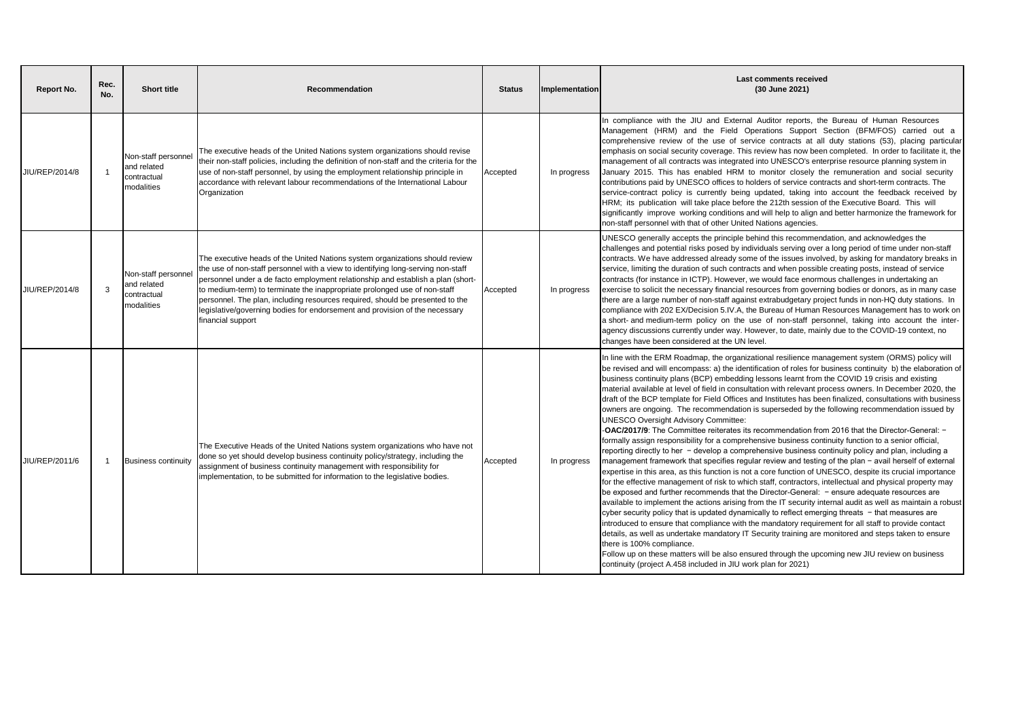| <b>Report No.</b> | Rec.<br>No. | <b>Short title</b>                                              | Recommendation                                                                                                                                                                                                                                                                                                                                                                                                                                                                                                        | <b>Status</b> | Implementation | <b>Last comments received</b><br>(30 June 2021)                                                                                                                                                                                                                                                                                                                                                                                                                                                                                                                                                                                                                                                                                                                                                                                                                                                                                                                                                                                                                                                                                                                                                                                                                                                                                                                                                                                                                                                                                                                                                                                                                                                                                                                                                                                                                                                                                                                                                                                                                                          |
|-------------------|-------------|-----------------------------------------------------------------|-----------------------------------------------------------------------------------------------------------------------------------------------------------------------------------------------------------------------------------------------------------------------------------------------------------------------------------------------------------------------------------------------------------------------------------------------------------------------------------------------------------------------|---------------|----------------|------------------------------------------------------------------------------------------------------------------------------------------------------------------------------------------------------------------------------------------------------------------------------------------------------------------------------------------------------------------------------------------------------------------------------------------------------------------------------------------------------------------------------------------------------------------------------------------------------------------------------------------------------------------------------------------------------------------------------------------------------------------------------------------------------------------------------------------------------------------------------------------------------------------------------------------------------------------------------------------------------------------------------------------------------------------------------------------------------------------------------------------------------------------------------------------------------------------------------------------------------------------------------------------------------------------------------------------------------------------------------------------------------------------------------------------------------------------------------------------------------------------------------------------------------------------------------------------------------------------------------------------------------------------------------------------------------------------------------------------------------------------------------------------------------------------------------------------------------------------------------------------------------------------------------------------------------------------------------------------------------------------------------------------------------------------------------------------|
| JIU/REP/2014/8    |             | Non-staff personnel<br>and related<br>contractual<br>modalities | The executive heads of the United Nations system organizations should revise<br>their non-staff policies, including the definition of non-staff and the criteria for the<br>use of non-staff personnel, by using the employment relationship principle in<br>accordance with relevant labour recommendations of the International Labour<br>Organization                                                                                                                                                              | Accepted      | In progress    | In compliance with the JIU and External Auditor reports, the Bureau of Human Resources<br>Management (HRM) and the Field Operations Support Section (BFM/FOS) carried out a<br>comprehensive review of the use of service contracts at all duty stations (53), placing particular<br>emphasis on social security coverage. This review has now been completed. In order to facilitate it, the<br>management of all contracts was integrated into UNESCO's enterprise resource planning system in<br>January 2015. This has enabled HRM to monitor closely the remuneration and social security<br>contributions paid by UNESCO offices to holders of service contracts and short-term contracts. The<br>service-contract policy is currently being updated, taking into account the feedback received by<br>HRM; its publication will take place before the 212th session of the Executive Board. This will<br>significantly improve working conditions and will help to align and better harmonize the framework for<br>non-staff personnel with that of other United Nations agencies.                                                                                                                                                                                                                                                                                                                                                                                                                                                                                                                                                                                                                                                                                                                                                                                                                                                                                                                                                                                                 |
| JIU/REP/2014/8    | 3           | Non-staff personne<br>and related<br>contractual<br>modalities  | The executive heads of the United Nations system organizations should review<br>the use of non-staff personnel with a view to identifying long-serving non-staff<br>personnel under a de facto employment relationship and establish a plan (short-<br>to medium-term) to terminate the inappropriate prolonged use of non-staff<br>personnel. The plan, including resources required, should be presented to the<br>legislative/governing bodies for endorsement and provision of the necessary<br>financial support | Accepted      | In progress    | UNESCO generally accepts the principle behind this recommendation, and acknowledges the<br>challenges and potential risks posed by individuals serving over a long period of time under non-staff<br>contracts. We have addressed already some of the issues involved, by asking for mandatory breaks in<br>service, limiting the duration of such contracts and when possible creating posts, instead of service<br>contracts (for instance in ICTP). However, we would face enormous challenges in undertaking an<br>exercise to solicit the necessary financial resources from governing bodies or donors, as in many case<br>there are a large number of non-staff against extrabudgetary project funds in non-HQ duty stations. In<br>compliance with 202 EX/Decision 5.IV.A, the Bureau of Human Resources Management has to work on<br>a short- and medium-term policy on the use of non-staff personnel, taking into account the inter-<br>agency discussions currently under way. However, to date, mainly due to the COVID-19 context, no<br>changes have been considered at the UN level.                                                                                                                                                                                                                                                                                                                                                                                                                                                                                                                                                                                                                                                                                                                                                                                                                                                                                                                                                                                     |
| JIU/REP/2011/6    |             | <b>Business continuity</b>                                      | The Executive Heads of the United Nations system organizations who have not<br>done so yet should develop business continuity policy/strategy, including the<br>assignment of business continuity management with responsibility for<br>implementation, to be submitted for information to the legislative bodies.                                                                                                                                                                                                    | Accepted      | In progress    | In line with the ERM Roadmap, the organizational resilience management system (ORMS) policy will<br>be revised and will encompass: a) the identification of roles for business continuity b) the elaboration of<br>business continuity plans (BCP) embedding lessons learnt from the COVID 19 crisis and existing<br>material available at level of field in consultation with relevant process owners. In December 2020, the<br>draft of the BCP template for Field Offices and Institutes has been finalized, consultations with business<br>owners are ongoing. The recommendation is superseded by the following recommendation issued by<br><b>UNESCO Oversight Advisory Committee:</b><br>-OAC/2017/9: The Committee reiterates its recommendation from 2016 that the Director-General: -<br>formally assign responsibility for a comprehensive business continuity function to a senior official,<br>reporting directly to her - develop a comprehensive business continuity policy and plan, including a<br>management framework that specifies regular review and testing of the plan - avail herself of external<br>expertise in this area, as this function is not a core function of UNESCO, despite its crucial importance<br>for the effective management of risk to which staff, contractors, intellectual and physical property may<br>be exposed and further recommends that the Director-General: - ensure adequate resources are<br>available to implement the actions arising from the IT security internal audit as well as maintain a robust<br>cyber security policy that is updated dynamically to reflect emerging threats - that measures are<br>introduced to ensure that compliance with the mandatory requirement for all staff to provide contact<br>details, as well as undertake mandatory IT Security training are monitored and steps taken to ensure<br>there is 100% compliance.<br>Follow up on these matters will be also ensured through the upcoming new JIU review on business<br>continuity (project A.458 included in JIU work plan for 2021) |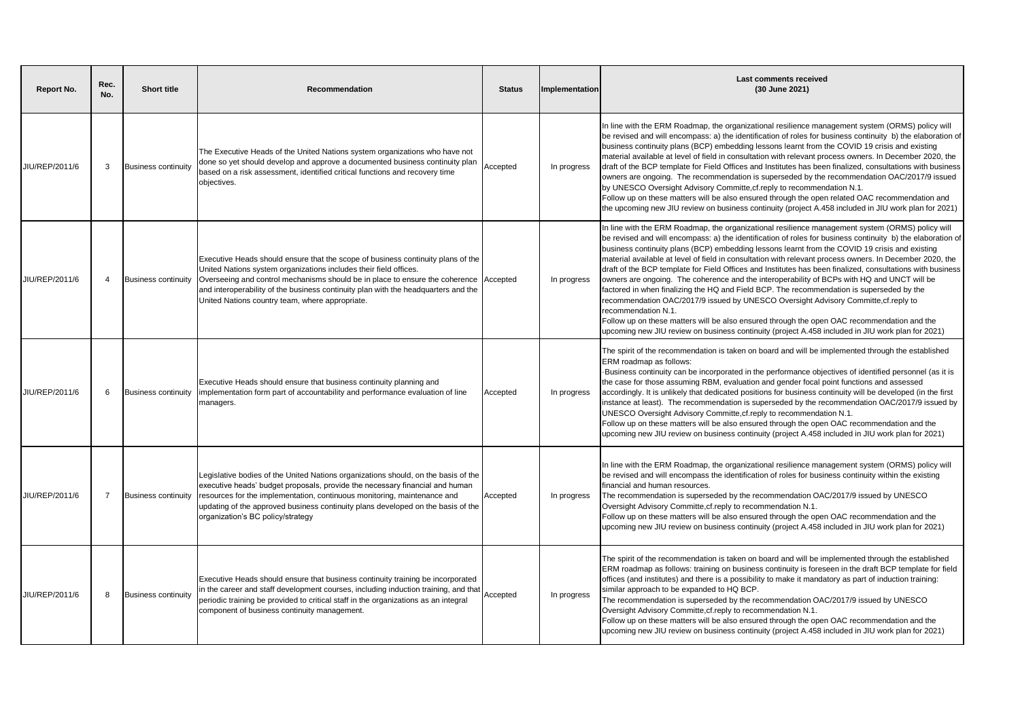| <b>Report No.</b> | Rec.<br>No. | <b>Short title</b>         | Recommendation                                                                                                                                                                                                                                                                                                                                                                 | <b>Status</b> | Implementation | Last comments received<br>(30 June 2021)                                                                                                                                                                                                                                                                                                                                                                                                                                                                                                                                                                                                                                                                                                                                                                                                                                                                                                                                                                                                                   |
|-------------------|-------------|----------------------------|--------------------------------------------------------------------------------------------------------------------------------------------------------------------------------------------------------------------------------------------------------------------------------------------------------------------------------------------------------------------------------|---------------|----------------|------------------------------------------------------------------------------------------------------------------------------------------------------------------------------------------------------------------------------------------------------------------------------------------------------------------------------------------------------------------------------------------------------------------------------------------------------------------------------------------------------------------------------------------------------------------------------------------------------------------------------------------------------------------------------------------------------------------------------------------------------------------------------------------------------------------------------------------------------------------------------------------------------------------------------------------------------------------------------------------------------------------------------------------------------------|
| JIU/REP/2011/6    | 3           | <b>Business continuity</b> | The Executive Heads of the United Nations system organizations who have not<br>done so yet should develop and approve a documented business continuity plan<br>based on a risk assessment, identified critical functions and recovery time<br>objectives.                                                                                                                      | Accepted      | In progress    | In line with the ERM Roadmap, the organizational resilience management system (ORMS) policy will<br>be revised and will encompass: a) the identification of roles for business continuity b) the elaboration of<br>business continuity plans (BCP) embedding lessons learnt from the COVID 19 crisis and existing<br>material available at level of field in consultation with relevant process owners. In December 2020, the<br>draft of the BCP template for Field Offices and Institutes has been finalized, consultations with business<br>owners are ongoing. The recommendation is superseded by the recommendation OAC/2017/9 issued<br>by UNESCO Oversight Advisory Committe, cf. reply to recommendation N.1.<br>Follow up on these matters will be also ensured through the open related OAC recommendation and<br>the upcoming new JIU review on business continuity (project A.458 included in JIU work plan for 2021)                                                                                                                         |
| JIU/REP/2011/6    | 4           | <b>Business continuity</b> | Executive Heads should ensure that the scope of business continuity plans of the<br>United Nations system organizations includes their field offices.<br>Overseeing and control mechanisms should be in place to ensure the coherence<br>and interoperability of the business continuity plan with the headquarters and the<br>United Nations country team, where appropriate. | Accepted      | In progress    | In line with the ERM Roadmap, the organizational resilience management system (ORMS) policy will<br>be revised and will encompass: a) the identification of roles for business continuity b) the elaboration of<br>business continuity plans (BCP) embedding lessons learnt from the COVID 19 crisis and existing<br>material available at level of field in consultation with relevant process owners. In December 2020, the<br>draft of the BCP template for Field Offices and Institutes has been finalized, consultations with business<br>owners are ongoing. The coherence and the interoperability of BCPs with HQ and UNCT will be<br>factored in when finalizing the HQ and Field BCP. The recommendation is superseded by the<br>recommendation OAC/2017/9 issued by UNESCO Oversight Advisory Committe, cf. reply to<br>recommendation N.1.<br>Follow up on these matters will be also ensured through the open OAC recommendation and the<br>upcoming new JIU review on business continuity (project A.458 included in JIU work plan for 2021) |
| JIU/REP/2011/6    | 6           | <b>Business continuity</b> | Executive Heads should ensure that business continuity planning and<br>implementation form part of accountability and performance evaluation of line<br>managers.                                                                                                                                                                                                              | Accepted      | In progress    | The spirit of the recommendation is taken on board and will be implemented through the established<br>ERM roadmap as follows:<br>Business continuity can be incorporated in the performance objectives of identified personnel (as it is<br>the case for those assuming RBM, evaluation and gender focal point functions and assessed<br>accordingly. It is unlikely that dedicated positions for business continuity will be developed (in the first<br>instance at least). The recommendation is superseded by the recommendation OAC/2017/9 issued by<br>UNESCO Oversight Advisory Committe, cf. reply to recommendation N.1.<br>Follow up on these matters will be also ensured through the open OAC recommendation and the<br>upcoming new JIU review on business continuity (project A.458 included in JIU work plan for 2021)                                                                                                                                                                                                                       |
| JIU/REP/2011/6    |             | <b>Business continuity</b> | Legislative bodies of the United Nations organizations should, on the basis of the<br>executive heads' budget proposals, provide the necessary financial and human<br>resources for the implementation, continuous monitoring, maintenance and<br>updating of the approved business continuity plans developed on the basis of the<br>organization's BC policy/strategy        | Accepted      | In progress    | In line with the ERM Roadmap, the organizational resilience management system (ORMS) policy will<br>be revised and will encompass the identification of roles for business continuity within the existing<br>financial and human resources.<br>The recommendation is superseded by the recommendation OAC/2017/9 issued by UNESCO<br>Oversight Advisory Committe, cf. reply to recommendation N.1.<br>Follow up on these matters will be also ensured through the open OAC recommendation and the<br>upcoming new JIU review on business continuity (project A.458 included in JIU work plan for 2021)                                                                                                                                                                                                                                                                                                                                                                                                                                                     |
| JIU/REP/2011/6    | 8           | <b>Business continuity</b> | Executive Heads should ensure that business continuity training be incorporated<br>in the career and staff development courses, including induction training, and that<br>periodic training be provided to critical staff in the organizations as an integral<br>component of business continuity management.                                                                  | Accepted      | In progress    | The spirit of the recommendation is taken on board and will be implemented through the established<br>ERM roadmap as follows: training on business continuity is foreseen in the draft BCP template for field<br>offices (and institutes) and there is a possibility to make it mandatory as part of induction training:<br>similar approach to be expanded to HQ BCP.<br>The recommendation is superseded by the recommendation OAC/2017/9 issued by UNESCO<br>Oversight Advisory Committe, cf. reply to recommendation N.1.<br>Follow up on these matters will be also ensured through the open OAC recommendation and the<br>upcoming new JIU review on business continuity (project A.458 included in JIU work plan for 2021)                                                                                                                                                                                                                                                                                                                          |